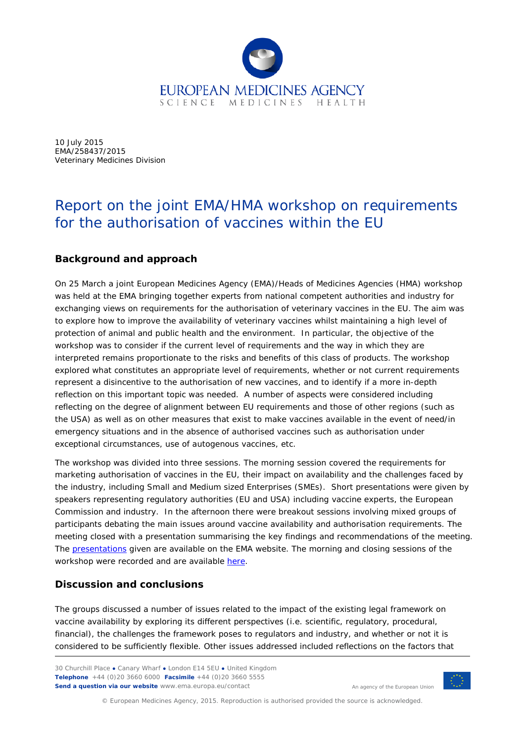

10 July 2015 EMA/258437/2015 Veterinary Medicines Division

## Report on the joint EMA/HMA workshop on requirements for the authorisation of vaccines within the EU

### **Background and approach**

On 25 March a joint European Medicines Agency (EMA)/Heads of Medicines Agencies (HMA) workshop was held at the EMA bringing together experts from national competent authorities and industry for exchanging views on requirements for the authorisation of veterinary vaccines in the EU. The aim was to explore how to improve the availability of veterinary vaccines whilst maintaining a high level of protection of animal and public health and the environment. In particular, the objective of the workshop was to consider if the current level of requirements and the way in which they are interpreted remains proportionate to the risks and benefits of this class of products. The workshop explored what constitutes an appropriate level of requirements, whether or not current requirements represent a disincentive to the authorisation of new vaccines, and to identify if a more in-depth reflection on this important topic was needed. A number of aspects were considered including reflecting on the degree of alignment between EU requirements and those of other regions (such as the USA) as well as on other measures that exist to make vaccines available in the event of need/in emergency situations and in the absence of authorised vaccines such as authorisation under exceptional circumstances, use of autogenous vaccines, etc.

The workshop was divided into three sessions. The morning session covered the requirements for marketing authorisation of vaccines in the EU, their impact on availability and the challenges faced by the industry, including Small and Medium sized Enterprises (SMEs). Short presentations were given by speakers representing regulatory authorities (EU and USA) including vaccine experts, the European Commission and industry. In the afternoon there were breakout sessions involving mixed groups of participants debating the main issues around vaccine availability and authorisation requirements. The meeting closed with a presentation summarising the key findings and recommendations of the meeting. The [presentations](http://www.ema.europa.eu/ema/index.jsp?curl=pages/news_and_events/events/2015/03/event_detail_001140.jsp&mid=WC0b01ac058004d5c3) given are available on the EMA website. The morning and closing sessions of the workshop were recorded and are available [here.](http://www.ema.europa.eu/ema/index.jsp?curl=pages/news_and_events/events/2015/03/event_detail_001140.jsp&mid=WC0b01ac058004d5c3)

### **Discussion and conclusions**

The groups discussed a number of issues related to the impact of the existing legal framework on vaccine availability by exploring its different perspectives (i.e. scientific, regulatory, procedural, financial), the challenges the framework poses to regulators and industry, and whether or not it is considered to be sufficiently flexible. Other issues addressed included reflections on the factors that

30 Churchill Place **●** Canary Wharf **●** London E14 5EU **●** United Kingdom **Telephone** +44 (0)20 3660 6000 **Facsimile** +44 (0)20 3660 5555 **Send a question via our website** www.ema.europa.eu/contact



© European Medicines Agency, 2015. Reproduction is authorised provided the source is acknowledged.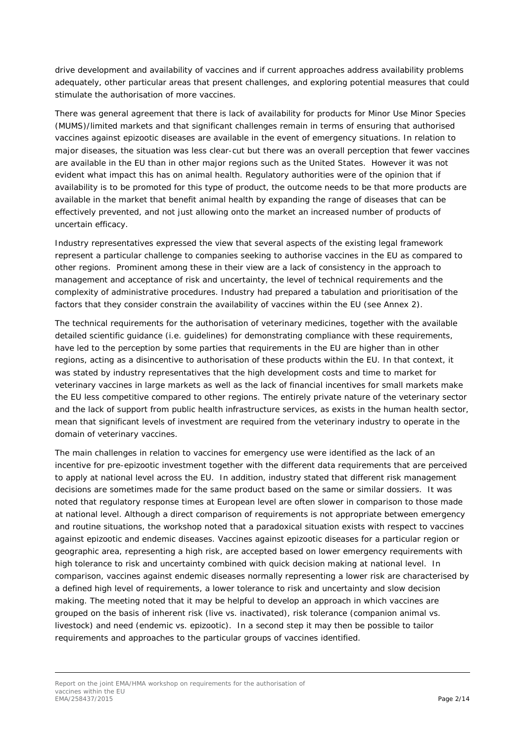drive development and availability of vaccines and if current approaches address availability problems adequately, other particular areas that present challenges, and exploring potential measures that could stimulate the authorisation of more vaccines.

There was general agreement that there is lack of availability for products for Minor Use Minor Species (MUMS)/limited markets and that significant challenges remain in terms of ensuring that authorised vaccines against epizootic diseases are available in the event of emergency situations. In relation to major diseases, the situation was less clear-cut but there was an overall perception that fewer vaccines are available in the EU than in other major regions such as the United States. However it was not evident what impact this has on animal health. Regulatory authorities were of the opinion that if availability is to be promoted for this type of product, the outcome needs to be that more products are available in the market that benefit animal health by expanding the range of diseases that can be effectively prevented, and not just allowing onto the market an increased number of products of uncertain efficacy.

Industry representatives expressed the view that several aspects of the existing legal framework represent a particular challenge to companies seeking to authorise vaccines in the EU as compared to other regions. Prominent among these in their view are a lack of consistency in the approach to management and acceptance of risk and uncertainty, the level of technical requirements and the complexity of administrative procedures. Industry had prepared a tabulation and prioritisation of the factors that they consider constrain the availability of vaccines within the EU (see Annex 2).

The technical requirements for the authorisation of veterinary medicines, together with the available detailed scientific guidance (i.e. guidelines) for demonstrating compliance with these requirements, have led to the perception by some parties that requirements in the EU are higher than in other regions, acting as a disincentive to authorisation of these products within the EU. In that context, it was stated by industry representatives that the high development costs and time to market for veterinary vaccines in large markets as well as the lack of financial incentives for small markets make the EU less competitive compared to other regions. The entirely private nature of the veterinary sector and the lack of support from public health infrastructure services, as exists in the human health sector, mean that significant levels of investment are required from the veterinary industry to operate in the domain of veterinary vaccines.

The main challenges in relation to vaccines for emergency use were identified as the lack of an incentive for pre-epizootic investment together with the different data requirements that are perceived to apply at national level across the EU. In addition, industry stated that different risk management decisions are sometimes made for the same product based on the same or similar dossiers. It was noted that regulatory response times at European level are often slower in comparison to those made at national level. Although a direct comparison of requirements is not appropriate between emergency and routine situations, the workshop noted that a paradoxical situation exists with respect to vaccines against epizootic and endemic diseases. Vaccines against epizootic diseases for a particular region or geographic area, representing a high risk, are accepted based on lower emergency requirements with high tolerance to risk and uncertainty combined with quick decision making at national level. In comparison, vaccines against endemic diseases normally representing a lower risk are characterised by a defined high level of requirements, a lower tolerance to risk and uncertainty and slow decision making. The meeting noted that it may be helpful to develop an approach in which vaccines are grouped on the basis of inherent risk (live vs. inactivated), risk tolerance (companion animal vs. livestock) and need (endemic vs. epizootic). In a second step it may then be possible to tailor requirements and approaches to the particular groups of vaccines identified.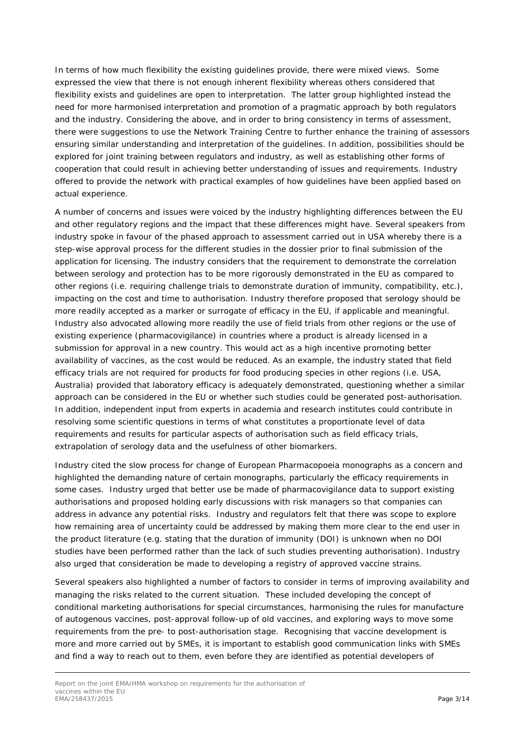In terms of how much flexibility the existing guidelines provide, there were mixed views. Some expressed the view that there is not enough inherent flexibility whereas others considered that flexibility exists and guidelines are open to interpretation. The latter group highlighted instead the need for more harmonised interpretation and promotion of a pragmatic approach by both regulators and the industry. Considering the above, and in order to bring consistency in terms of assessment, there were suggestions to use the Network Training Centre to further enhance the training of assessors ensuring similar understanding and interpretation of the guidelines. In addition, possibilities should be explored for joint training between regulators and industry, as well as establishing other forms of cooperation that could result in achieving better understanding of issues and requirements. Industry offered to provide the network with practical examples of how guidelines have been applied based on actual experience.

A number of concerns and issues were voiced by the industry highlighting differences between the EU and other regulatory regions and the impact that these differences might have. Several speakers from industry spoke in favour of the phased approach to assessment carried out in USA whereby there is a step-wise approval process for the different studies in the dossier prior to final submission of the application for licensing. The industry considers that the requirement to demonstrate the correlation between serology and protection has to be more rigorously demonstrated in the EU as compared to other regions (i.e. requiring challenge trials to demonstrate duration of immunity, compatibility, etc.), impacting on the cost and time to authorisation. Industry therefore proposed that serology should be more readily accepted as a marker or surrogate of efficacy in the EU, if applicable and meaningful. Industry also advocated allowing more readily the use of field trials from other regions or the use of existing experience (pharmacovigilance) in countries where a product is already licensed in a submission for approval in a new country. This would act as a high incentive promoting better availability of vaccines, as the cost would be reduced. As an example, the industry stated that field efficacy trials are not required for products for food producing species in other regions (i.e. USA, Australia) provided that laboratory efficacy is adequately demonstrated, questioning whether a similar approach can be considered in the EU or whether such studies could be generated post-authorisation. In addition, independent input from experts in academia and research institutes could contribute in resolving some scientific questions in terms of what constitutes a proportionate level of data requirements and results for particular aspects of authorisation such as field efficacy trials, extrapolation of serology data and the usefulness of other biomarkers.

Industry cited the slow process for change of European Pharmacopoeia monographs as a concern and highlighted the demanding nature of certain monographs, particularly the efficacy requirements in some cases. Industry urged that better use be made of pharmacovigilance data to support existing authorisations and proposed holding early discussions with risk managers so that companies can address in advance any potential risks. Industry and regulators felt that there was scope to explore how remaining area of uncertainty could be addressed by making them more clear to the end user in the product literature (e.g. stating that the duration of immunity (DOI) is unknown when no DOI studies have been performed rather than the lack of such studies preventing authorisation). Industry also urged that consideration be made to developing a registry of approved vaccine strains.

Several speakers also highlighted a number of factors to consider in terms of improving availability and managing the risks related to the current situation. These included developing the concept of conditional marketing authorisations for special circumstances, harmonising the rules for manufacture of autogenous vaccines, post-approval follow-up of old vaccines, and exploring ways to move some requirements from the pre- to post-authorisation stage. Recognising that vaccine development is more and more carried out by SMEs, it is important to establish good communication links with SMEs and find a way to reach out to them, even before they are identified as potential developers of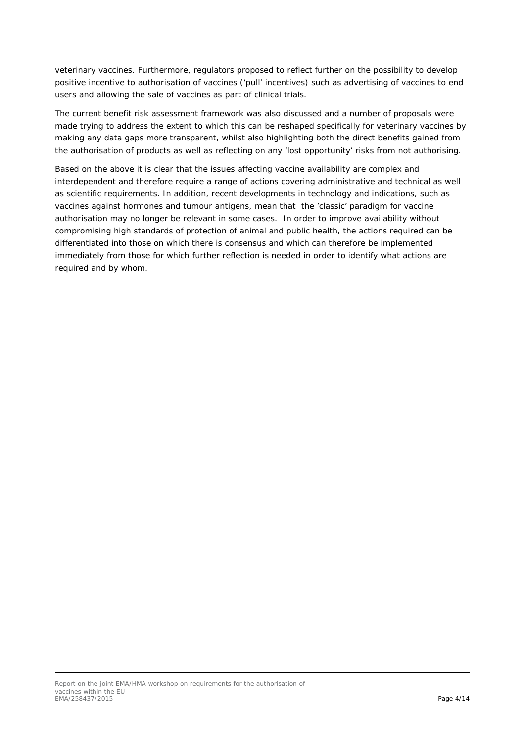veterinary vaccines. Furthermore, regulators proposed to reflect further on the possibility to develop positive incentive to authorisation of vaccines ('pull' incentives) such as advertising of vaccines to end users and allowing the sale of vaccines as part of clinical trials.

The current benefit risk assessment framework was also discussed and a number of proposals were made trying to address the extent to which this can be reshaped specifically for veterinary vaccines by making any data gaps more transparent, whilst also highlighting both the direct benefits gained from the authorisation of products as well as reflecting on any 'lost opportunity' risks from not authorising.

Based on the above it is clear that the issues affecting vaccine availability are complex and interdependent and therefore require a range of actions covering administrative and technical as well as scientific requirements. In addition, recent developments in technology and indications, such as vaccines against hormones and tumour antigens, mean that the 'classic' paradigm for vaccine authorisation may no longer be relevant in some cases. In order to improve availability without compromising high standards of protection of animal and public health, the actions required can be differentiated into those on which there is consensus and which can therefore be implemented immediately from those for which further reflection is needed in order to identify what actions are required and by whom.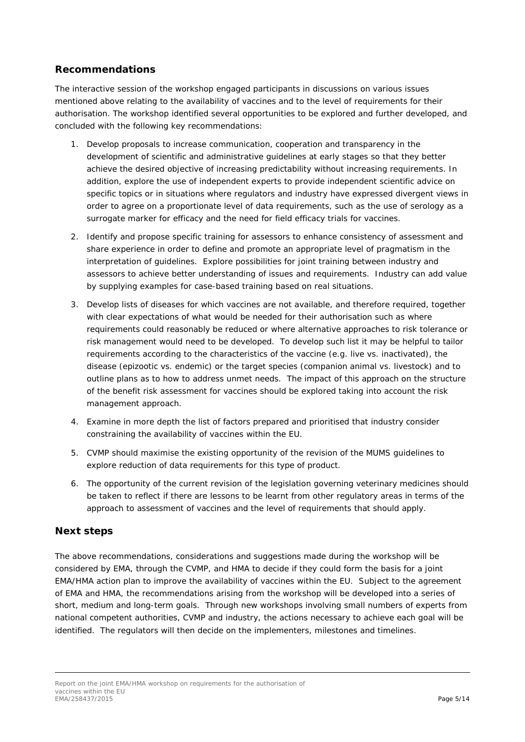#### **Recommendations**

The interactive session of the workshop engaged participants in discussions on various issues mentioned above relating to the availability of vaccines and to the level of requirements for their authorisation. The workshop identified several opportunities to be explored and further developed, and concluded with the following key recommendations:

- 1. Develop proposals to increase communication, cooperation and transparency in the development of scientific and administrative guidelines at early stages so that they better achieve the desired objective of increasing predictability without increasing requirements. In addition, explore the use of independent experts to provide independent scientific advice on specific topics or in situations where regulators and industry have expressed divergent views in order to agree on a proportionate level of data requirements, such as the use of serology as a surrogate marker for efficacy and the need for field efficacy trials for vaccines.
- 2. Identify and propose specific training for assessors to enhance consistency of assessment and share experience in order to define and promote an appropriate level of pragmatism in the interpretation of guidelines. Explore possibilities for joint training between industry and assessors to achieve better understanding of issues and requirements. Industry can add value by supplying examples for case-based training based on real situations.
- 3. Develop lists of diseases for which vaccines are not available, and therefore required, together with clear expectations of what would be needed for their authorisation such as where requirements could reasonably be reduced or where alternative approaches to risk tolerance or risk management would need to be developed. To develop such list it may be helpful to tailor requirements according to the characteristics of the vaccine (e.g. live vs. inactivated), the disease (epizootic vs. endemic) or the target species (companion animal vs. livestock) and to outline plans as to how to address unmet needs. The impact of this approach on the structure of the benefit risk assessment for vaccines should be explored taking into account the risk management approach.
- 4. Examine in more depth the list of factors prepared and prioritised that industry consider constraining the availability of vaccines within the EU.
- 5. CVMP should maximise the existing opportunity of the revision of the MUMS guidelines to explore reduction of data requirements for this type of product.
- 6. The opportunity of the current revision of the legislation governing veterinary medicines should be taken to reflect if there are lessons to be learnt from other regulatory areas in terms of the approach to assessment of vaccines and the level of requirements that should apply.

#### **Next steps**

The above recommendations, considerations and suggestions made during the workshop will be considered by EMA, through the CVMP, and HMA to decide if they could form the basis for a joint EMA/HMA action plan to improve the availability of vaccines within the EU. Subject to the agreement of EMA and HMA, the recommendations arising from the workshop will be developed into a series of short, medium and long-term goals. Through new workshops involving small numbers of experts from national competent authorities, CVMP and industry, the actions necessary to achieve each goal will be identified. The regulators will then decide on the implementers, milestones and timelines.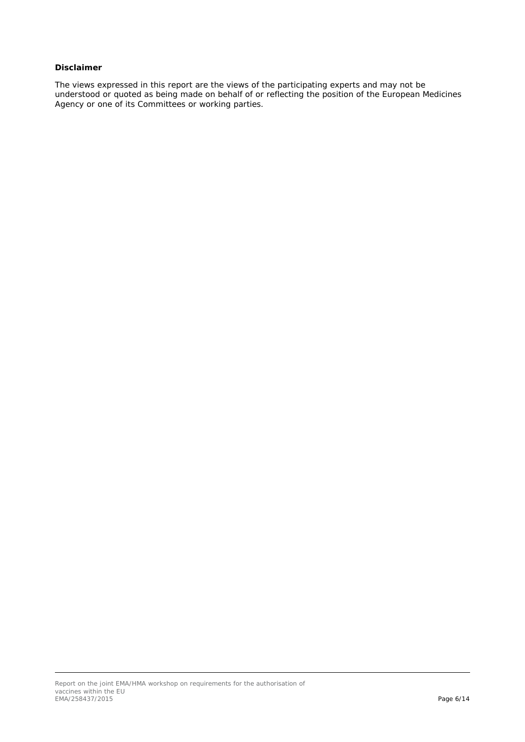#### *Disclaimer*

*The views expressed in this report are the views of the participating experts and may not be understood or quoted as being made on behalf of or reflecting the position of the European Medicines Agency or one of its Committees or working parties.*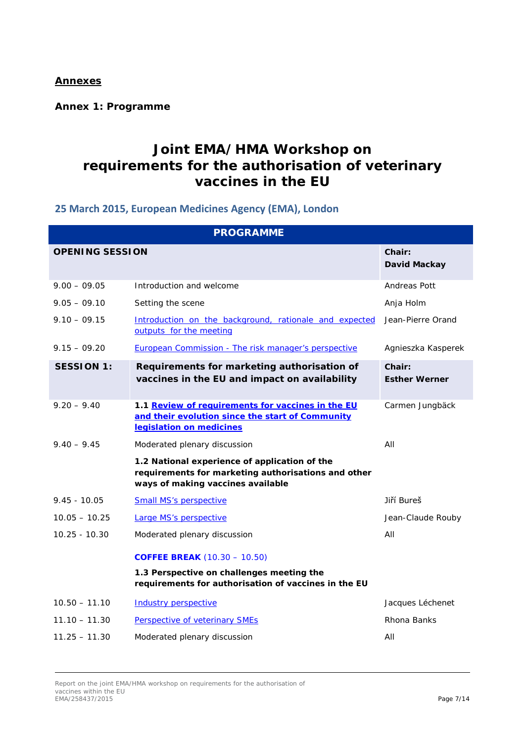### **Annexes**

**Annex 1: Programme**

### **Joint EMA/HMA Workshop on requirements for the authorisation of veterinary vaccines in the EU**

### **25 March 2015, European Medicines Agency (EMA), London**

|                        | <b>PROGRAMME</b>                                                                                                                          |                                |  |  |  |  |  |  |
|------------------------|-------------------------------------------------------------------------------------------------------------------------------------------|--------------------------------|--|--|--|--|--|--|
| <b>OPENING SESSION</b> |                                                                                                                                           | Chair:<br>David Mackay         |  |  |  |  |  |  |
| $9.00 - 09.05$         | Introduction and welcome                                                                                                                  | Andreas Pott                   |  |  |  |  |  |  |
| $9.05 - 09.10$         | Setting the scene                                                                                                                         | Anja Holm                      |  |  |  |  |  |  |
| $9.10 - 09.15$         | Introduction on the background, rationale and expected<br>outputs for the meeting                                                         | Jean-Pierre Orand              |  |  |  |  |  |  |
| $9.15 - 09.20$         | European Commission - The risk manager's perspective                                                                                      | Agnieszka Kasperek             |  |  |  |  |  |  |
| <b>SESSION 1:</b>      | Requirements for marketing authorisation of<br>vaccines in the EU and impact on availability                                              | Chair:<br><b>Esther Werner</b> |  |  |  |  |  |  |
| $9.20 - 9.40$          | 1.1 Review of requirements for vaccines in the EU<br>and their evolution since the start of Community<br>legislation on medicines         | Carmen Jungbäck                |  |  |  |  |  |  |
| $9.40 - 9.45$          | Moderated plenary discussion                                                                                                              | AII                            |  |  |  |  |  |  |
|                        | 1.2 National experience of application of the<br>requirements for marketing authorisations and other<br>ways of making vaccines available |                                |  |  |  |  |  |  |
| $9.45 - 10.05$         | <b>Small MS's perspective</b>                                                                                                             | Jiří Bureš                     |  |  |  |  |  |  |
| $10.05 - 10.25$        | Large MS's perspective                                                                                                                    | Jean-Claude Rouby              |  |  |  |  |  |  |
| $10.25 - 10.30$        | Moderated plenary discussion                                                                                                              | All                            |  |  |  |  |  |  |
|                        | <b>COFFEE BREAK</b> (10.30 - 10.50)                                                                                                       |                                |  |  |  |  |  |  |
|                        | 1.3 Perspective on challenges meeting the<br>requirements for authorisation of vaccines in the EU                                         |                                |  |  |  |  |  |  |
| $10.50 - 11.10$        | <b>Industry perspective</b>                                                                                                               | Jacques Léchenet               |  |  |  |  |  |  |
| $11.10 - 11.30$        | Perspective of veterinary SMEs                                                                                                            | Rhona Banks                    |  |  |  |  |  |  |
| $11.25 - 11.30$        | Moderated plenary discussion                                                                                                              | All                            |  |  |  |  |  |  |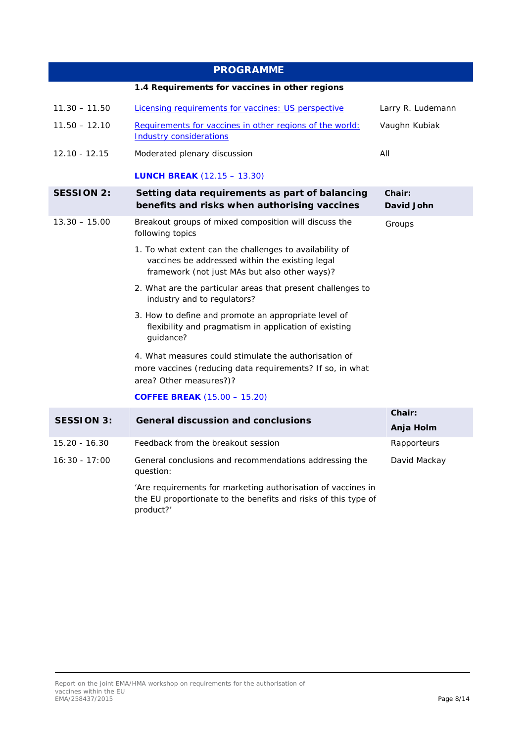|                   | <b>PROGRAMME</b>                                                                                                                                            |                     |  |  |
|-------------------|-------------------------------------------------------------------------------------------------------------------------------------------------------------|---------------------|--|--|
|                   | 1.4 Requirements for vaccines in other regions                                                                                                              |                     |  |  |
| $11.30 - 11.50$   | Licensing requirements for vaccines: US perspective                                                                                                         | Larry R. Ludemann   |  |  |
| $11.50 - 12.10$   | Requirements for vaccines in other regions of the world:<br><b>Industry considerations</b>                                                                  | Vaughn Kubiak       |  |  |
| 12.10 - 12.15     | Moderated plenary discussion                                                                                                                                | AII                 |  |  |
|                   | <b>LUNCH BREAK</b> $(12.15 - 13.30)$                                                                                                                        |                     |  |  |
| <b>SESSION 2:</b> | Chair:<br>David John                                                                                                                                        |                     |  |  |
| $13.30 - 15.00$   | Breakout groups of mixed composition will discuss the<br>following topics                                                                                   | Groups              |  |  |
|                   | 1. To what extent can the challenges to availability of<br>vaccines be addressed within the existing legal<br>framework (not just MAs but also other ways)? |                     |  |  |
|                   |                                                                                                                                                             |                     |  |  |
|                   | 3. How to define and promote an appropriate level of<br>flexibility and pragmatism in application of existing<br>guidance?                                  |                     |  |  |
|                   | 4. What measures could stimulate the authorisation of<br>more vaccines (reducing data requirements? If so, in what<br>area? Other measures?)?               |                     |  |  |
|                   | <b>COFFEE BREAK</b> (15.00 - 15.20)                                                                                                                         |                     |  |  |
| <b>SESSION 3:</b> | <b>General discussion and conclusions</b>                                                                                                                   | Chair:<br>Anja Holm |  |  |
| 15.20 - 16.30     | Feedback from the breakout session                                                                                                                          | Rapporteurs         |  |  |
| $16:30 - 17:00$   | David Mackay                                                                                                                                                |                     |  |  |

'Are requirements for marketing authorisation of vaccines in the EU proportionate to the benefits and risks of this type of product?'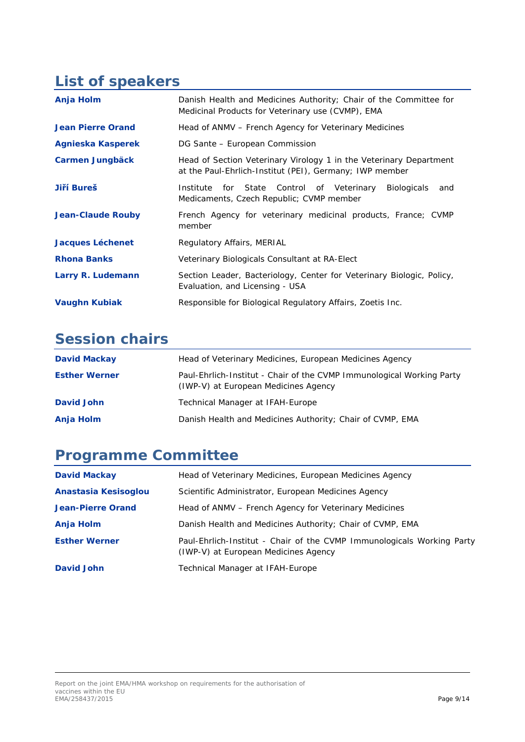## **List of speakers**

| Anja Holm                | Danish Health and Medicines Authority; Chair of the Committee for<br>Medicinal Products for Veterinary use (CVMP), EMA        |  |  |  |  |  |  |
|--------------------------|-------------------------------------------------------------------------------------------------------------------------------|--|--|--|--|--|--|
| <b>Jean Pierre Orand</b> | Head of ANMV – French Agency for Veterinary Medicines                                                                         |  |  |  |  |  |  |
| Agnieska Kasperek        | DG Sante - European Commission                                                                                                |  |  |  |  |  |  |
| <b>Carmen Jungbäck</b>   | Head of Section Veterinary Virology 1 in the Veterinary Department<br>at the Paul-Ehrlich-Institut (PEI), Germany; IWP member |  |  |  |  |  |  |
| Jiří Bureš               | for State Control of Veterinary<br><b>Biologicals</b><br>Institute<br>and<br>Medicaments, Czech Republic; CVMP member         |  |  |  |  |  |  |
| <b>Jean-Claude Rouby</b> | French Agency for veterinary medicinal products, France; CVMP<br>member                                                       |  |  |  |  |  |  |
| <b>Jacques Léchenet</b>  | Regulatory Affairs, MERIAL                                                                                                    |  |  |  |  |  |  |
| <b>Rhona Banks</b>       | Veterinary Biologicals Consultant at RA-Elect                                                                                 |  |  |  |  |  |  |
| Larry R. Ludemann        | Section Leader, Bacteriology, Center for Veterinary Biologic, Policy,<br>Evaluation, and Licensing - USA                      |  |  |  |  |  |  |
| <b>Vaughn Kubiak</b>     | Responsible for Biological Regulatory Affairs, Zoetis Inc.                                                                    |  |  |  |  |  |  |

# **Session chairs**

| <b>David Mackay</b>  | Head of Veterinary Medicines, European Medicines Agency                                                       |
|----------------------|---------------------------------------------------------------------------------------------------------------|
| <b>Esther Werner</b> | Paul-Ehrlich-Institut - Chair of the CVMP Immunological Working Party<br>(IWP-V) at European Medicines Agency |
| David John           | Technical Manager at IFAH-Europe                                                                              |
| Anja Holm            | Danish Health and Medicines Authority; Chair of CVMP, EMA                                                     |

## **Programme Committee**

| <b>David Mackay</b>      | Head of Veterinary Medicines, European Medicines Agency                                                        |
|--------------------------|----------------------------------------------------------------------------------------------------------------|
| Anastasia Kesisoglou     | Scientific Administrator, European Medicines Agency                                                            |
| <b>Jean-Pierre Orand</b> | Head of ANMV – French Agency for Veterinary Medicines                                                          |
| Anja Holm                | Danish Health and Medicines Authority; Chair of CVMP, EMA                                                      |
| <b>Esther Werner</b>     | Paul-Ehrlich-Institut - Chair of the CVMP Immunologicals Working Party<br>(IWP-V) at European Medicines Agency |
| <b>David John</b>        | Technical Manager at IFAH-Europe                                                                               |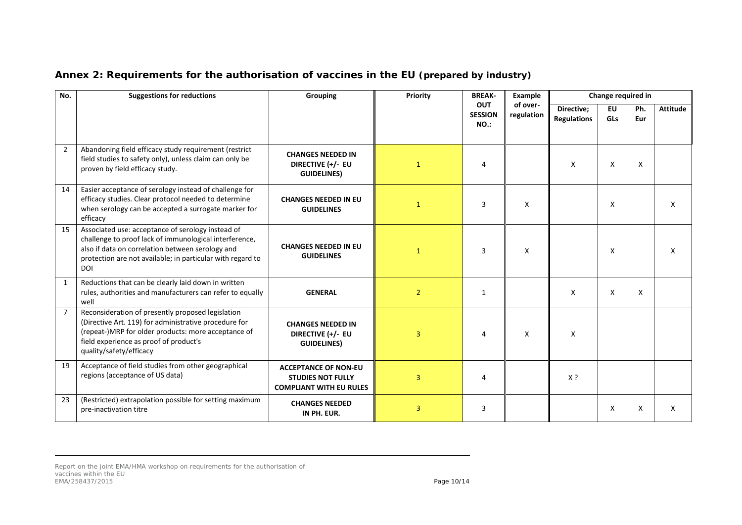| No.            | <b>Suggestions for reductions</b>                                                                                                                                                                                                           | <b>Grouping</b>                                                                           | Example<br>Priority<br><b>BREAK-</b> |                                      | Change required in     |                                  |                         |            |                 |
|----------------|---------------------------------------------------------------------------------------------------------------------------------------------------------------------------------------------------------------------------------------------|-------------------------------------------------------------------------------------------|--------------------------------------|--------------------------------------|------------------------|----------------------------------|-------------------------|------------|-----------------|
|                |                                                                                                                                                                                                                                             |                                                                                           |                                      | <b>OUT</b><br><b>SESSION</b><br>NO.: | of over-<br>regulation | Directive;<br><b>Regulations</b> | <b>EU</b><br><b>GLs</b> | Ph.<br>Eur | <b>Attitude</b> |
| $\overline{2}$ | Abandoning field efficacy study requirement (restrict<br>field studies to safety only), unless claim can only be<br>proven by field efficacy study.                                                                                         | <b>CHANGES NEEDED IN</b><br>DIRECTIVE (+/- EU<br><b>GUIDELINES)</b>                       | $\mathbf{1}$                         | 4                                    |                        | $\mathsf{x}$                     | X                       | X          |                 |
| 14             | Easier acceptance of serology instead of challenge for<br>efficacy studies. Clear protocol needed to determine<br>when serology can be accepted a surrogate marker for<br>efficacy                                                          | <b>CHANGES NEEDED IN EU</b><br><b>GUIDELINES</b>                                          | $\mathbf{1}$                         | 3                                    | X                      |                                  | X                       |            | X               |
| 15             | Associated use: acceptance of serology instead of<br>challenge to proof lack of immunological interference,<br>also if data on correlation between serology and<br>protection are not available; in particular with regard to<br><b>DOI</b> | <b>CHANGES NEEDED IN EU</b><br><b>GUIDELINES</b>                                          | $\mathbf{1}$                         | 3                                    | Χ                      |                                  | X                       |            | X               |
| $\mathbf{1}$   | Reductions that can be clearly laid down in written<br>rules, authorities and manufacturers can refer to equally<br>well                                                                                                                    | <b>GENERAL</b>                                                                            | $\overline{2}$                       | 1                                    |                        | X                                | X                       | $\times$   |                 |
| $\overline{7}$ | Reconsideration of presently proposed legislation<br>(Directive Art. 119) for administrative procedure for<br>(repeat-)MRP for older products: more acceptance of<br>field experience as proof of product's<br>quality/safety/efficacy      | <b>CHANGES NEEDED IN</b><br>DIRECTIVE (+/- EU<br><b>GUIDELINES)</b>                       | 3                                    | 4                                    | X                      | X                                |                         |            |                 |
| 19             | Acceptance of field studies from other geographical<br>regions (acceptance of US data)                                                                                                                                                      | <b>ACCEPTANCE OF NON-EU</b><br><b>STUDIES NOT FULLY</b><br><b>COMPLIANT WITH EU RULES</b> | 3                                    | 4                                    |                        | X?                               |                         |            |                 |
| 23             | (Restricted) extrapolation possible for setting maximum<br>pre-inactivation titre                                                                                                                                                           | <b>CHANGES NEEDED</b><br>IN PH. EUR.                                                      | 3                                    | 3                                    |                        |                                  | X                       | X          | X               |

### **Annex 2: Requirements for the authorisation of vaccines in the EU** *(prepared by industry)*

Report on the joint EMA/HMA workshop on requirements for the authorisation of vaccines within the EU EMA/258437/2015 **Page 10/14**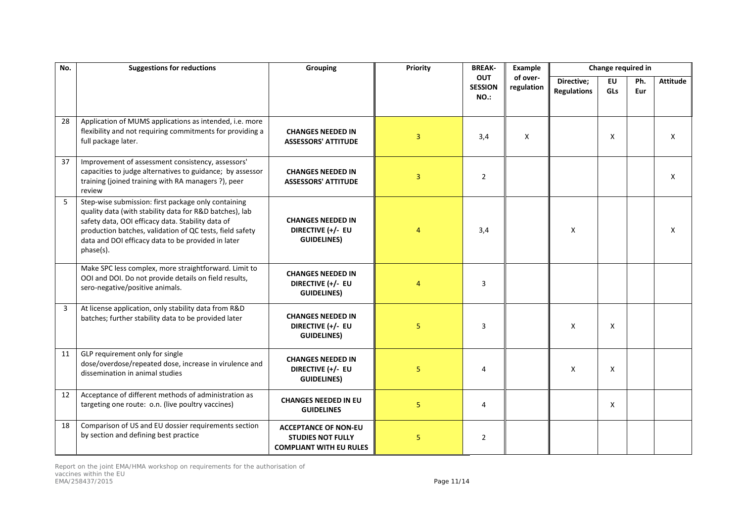| No. | <b>Suggestions for reductions</b>                                                                                                                                                                                                                                                                  | Grouping                                                                                  | Priority       | <b>BREAK-</b>                 | Example                | Change required in               |                           |            |                 |
|-----|----------------------------------------------------------------------------------------------------------------------------------------------------------------------------------------------------------------------------------------------------------------------------------------------------|-------------------------------------------------------------------------------------------|----------------|-------------------------------|------------------------|----------------------------------|---------------------------|------------|-----------------|
|     |                                                                                                                                                                                                                                                                                                    |                                                                                           |                | OUT<br><b>SESSION</b><br>NO.: | of over-<br>regulation | Directive;<br><b>Regulations</b> | <b>EU</b><br>GLs          | Ph.<br>Eur | <b>Attitude</b> |
| 28  | Application of MUMS applications as intended, i.e. more<br>flexibility and not requiring commitments for providing a<br>full package later.                                                                                                                                                        | <b>CHANGES NEEDED IN</b><br><b>ASSESSORS' ATTITUDE</b>                                    | 3              | 3,4                           | X                      |                                  | $\boldsymbol{\mathsf{X}}$ |            | X               |
| 37  | Improvement of assessment consistency, assessors'<br>capacities to judge alternatives to guidance; by assessor<br>training (joined training with RA managers ?), peer<br>review                                                                                                                    | <b>CHANGES NEEDED IN</b><br><b>ASSESSORS' ATTITUDE</b>                                    | 3              | $\overline{2}$                |                        |                                  |                           |            | X               |
| 5   | Step-wise submission: first package only containing<br>quality data (with stability data for R&D batches), lab<br>safety data, OOI efficacy data. Stability data of<br>production batches, validation of QC tests, field safety<br>data and DOI efficacy data to be provided in later<br>phase(s). | <b>CHANGES NEEDED IN</b><br>DIRECTIVE (+/- EU<br><b>GUIDELINES)</b>                       | $\overline{4}$ | 3,4                           |                        | $\mathsf{x}$                     |                           |            | X               |
|     | Make SPC less complex, more straightforward. Limit to<br>OOI and DOI. Do not provide details on field results,<br>sero-negative/positive animals.                                                                                                                                                  | <b>CHANGES NEEDED IN</b><br>DIRECTIVE (+/- EU<br><b>GUIDELINES)</b>                       | $\overline{4}$ | 3                             |                        |                                  |                           |            |                 |
| 3   | At license application, only stability data from R&D<br>batches; further stability data to be provided later                                                                                                                                                                                       | <b>CHANGES NEEDED IN</b><br>DIRECTIVE (+/- EU<br><b>GUIDELINES)</b>                       | 5              | 3                             |                        | X                                | X                         |            |                 |
| 11  | GLP requirement only for single<br>dose/overdose/repeated dose, increase in virulence and<br>dissemination in animal studies                                                                                                                                                                       | <b>CHANGES NEEDED IN</b><br>DIRECTIVE (+/- EU<br><b>GUIDELINES)</b>                       | 5              | 4                             |                        | X                                | X                         |            |                 |
| 12  | Acceptance of different methods of administration as<br>targeting one route: o.n. (live poultry vaccines)                                                                                                                                                                                          | <b>CHANGES NEEDED IN EU</b><br><b>GUIDELINES</b>                                          | 5              | 4                             |                        |                                  | X                         |            |                 |
| 18  | Comparison of US and EU dossier requirements section<br>by section and defining best practice                                                                                                                                                                                                      | <b>ACCEPTANCE OF NON-EU</b><br><b>STUDIES NOT FULLY</b><br><b>COMPLIANT WITH EU RULES</b> | 5              | $\overline{2}$                |                        |                                  |                           |            |                 |

Report on the joint EMA/HMA workshop on requirements for the authorisation of vaccines within the EU EMA/258437/2015 Page 11/14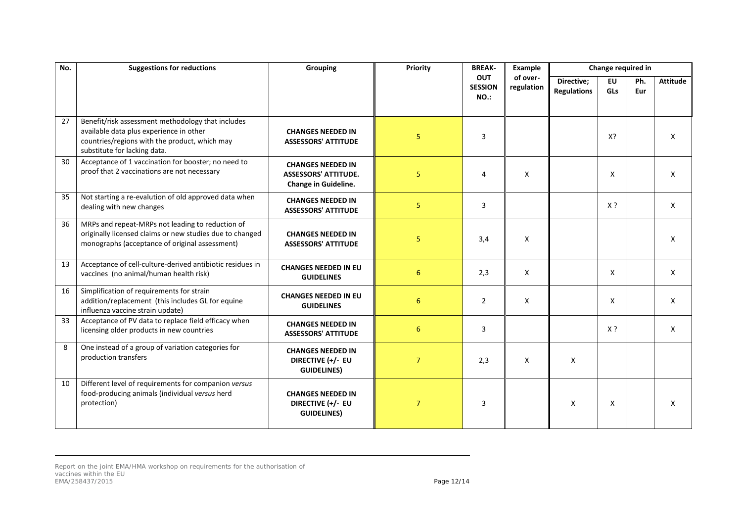| No. | <b>Suggestions for reductions</b>                                                                                                                                             | <b>Grouping</b>                                                                 | Priority        | <b>BREAK-</b>                               | Example                |                                  | Change required in      |            |                 |
|-----|-------------------------------------------------------------------------------------------------------------------------------------------------------------------------------|---------------------------------------------------------------------------------|-----------------|---------------------------------------------|------------------------|----------------------------------|-------------------------|------------|-----------------|
|     |                                                                                                                                                                               |                                                                                 |                 | <b>OUT</b><br><b>SESSION</b><br><b>NO.:</b> | of over-<br>regulation | Directive;<br><b>Regulations</b> | <b>EU</b><br><b>GLs</b> | Ph.<br>Eur | <b>Attitude</b> |
| 27  | Benefit/risk assessment methodology that includes<br>available data plus experience in other<br>countries/regions with the product, which may<br>substitute for lacking data. | <b>CHANGES NEEDED IN</b><br><b>ASSESSORS' ATTITUDE</b>                          | 5 <sup>1</sup>  | 3                                           |                        |                                  | X?                      |            | $\mathsf{X}$    |
| 30  | Acceptance of 1 vaccination for booster; no need to<br>proof that 2 vaccinations are not necessary                                                                            | <b>CHANGES NEEDED IN</b><br><b>ASSESSORS' ATTITUDE.</b><br>Change in Guideline. | 5               | 4                                           | X                      |                                  | X                       |            | X               |
| 35  | Not starting a re-evalution of old approved data when<br>dealing with new changes                                                                                             | <b>CHANGES NEEDED IN</b><br><b>ASSESSORS' ATTITUDE</b>                          | 5               | 3                                           |                        |                                  | X ?                     |            | X               |
| 36  | MRPs and repeat-MRPs not leading to reduction of<br>originally licensed claims or new studies due to changed<br>monographs (acceptance of original assessment)                | <b>CHANGES NEEDED IN</b><br><b>ASSESSORS' ATTITUDE</b>                          | 5               | 3,4                                         | X                      |                                  |                         |            | X               |
| 13  | Acceptance of cell-culture-derived antibiotic residues in<br>vaccines (no animal/human health risk)                                                                           | <b>CHANGES NEEDED IN EU</b><br><b>GUIDELINES</b>                                | $6\,$           | 2,3                                         | X                      |                                  | X                       |            | X               |
| 16  | Simplification of requirements for strain<br>addition/replacement (this includes GL for equine<br>influenza vaccine strain update)                                            | <b>CHANGES NEEDED IN EU</b><br><b>GUIDELINES</b>                                | 6               | $\overline{2}$                              | X                      |                                  | X                       |            | X               |
| 33  | Acceptance of PV data to replace field efficacy when<br>licensing older products in new countries                                                                             | <b>CHANGES NEEDED IN</b><br><b>ASSESSORS' ATTITUDE</b>                          | $6\phantom{1}6$ | 3                                           |                        |                                  | $X$ ?                   |            | X               |
| 8   | One instead of a group of variation categories for<br>production transfers                                                                                                    | <b>CHANGES NEEDED IN</b><br>DIRECTIVE (+/- EU<br><b>GUIDELINES)</b>             | $\overline{7}$  | 2,3                                         | X                      | X                                |                         |            |                 |
| 10  | Different level of requirements for companion versus<br>food-producing animals (individual versus herd<br>protection)                                                         | <b>CHANGES NEEDED IN</b><br>DIRECTIVE (+/- EU<br><b>GUIDELINES)</b>             | $\overline{7}$  | 3                                           |                        | X                                | X                       |            | X               |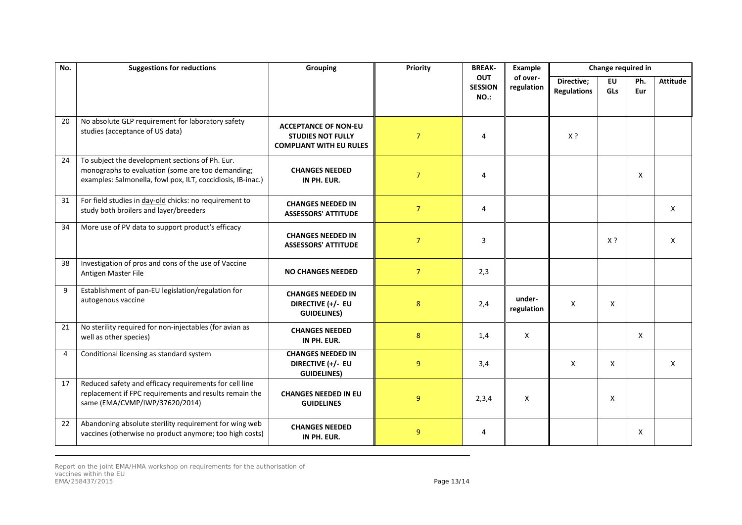| No. | <b>Suggestions for reductions</b>                                                                                                                                   | Grouping                                                                                  | Priority       | <b>BREAK-</b>                        | Example                |                                  | Change required in |            |                 |
|-----|---------------------------------------------------------------------------------------------------------------------------------------------------------------------|-------------------------------------------------------------------------------------------|----------------|--------------------------------------|------------------------|----------------------------------|--------------------|------------|-----------------|
|     |                                                                                                                                                                     |                                                                                           |                | <b>OUT</b><br><b>SESSION</b><br>NO.: | of over-<br>regulation | Directive;<br><b>Regulations</b> | <b>EU</b><br>GLs   | Ph.<br>Eur | <b>Attitude</b> |
| 20  | No absolute GLP requirement for laboratory safety<br>studies (acceptance of US data)                                                                                | <b>ACCEPTANCE OF NON-EU</b><br><b>STUDIES NOT FULLY</b><br><b>COMPLIANT WITH EU RULES</b> | $\overline{7}$ | 4                                    |                        | $X$ ?                            |                    |            |                 |
| 24  | To subject the development sections of Ph. Eur.<br>monographs to evaluation (some are too demanding;<br>examples: Salmonella, fowl pox, ILT, coccidiosis, IB-inac.) | <b>CHANGES NEEDED</b><br>IN PH. EUR.                                                      | $\overline{7}$ | 4                                    |                        |                                  |                    | X          |                 |
| 31  | For field studies in day-old chicks: no requirement to<br>study both broilers and layer/breeders                                                                    | <b>CHANGES NEEDED IN</b><br><b>ASSESSORS' ATTITUDE</b>                                    | $\overline{7}$ | 4                                    |                        |                                  |                    |            | $\mathsf{X}$    |
| 34  | More use of PV data to support product's efficacy                                                                                                                   | <b>CHANGES NEEDED IN</b><br><b>ASSESSORS' ATTITUDE</b>                                    | $\overline{7}$ | 3                                    |                        |                                  | X ?                |            | X               |
| 38  | Investigation of pros and cons of the use of Vaccine<br>Antigen Master File                                                                                         | <b>NO CHANGES NEEDED</b>                                                                  | $\overline{7}$ | 2,3                                  |                        |                                  |                    |            |                 |
| 9   | Establishment of pan-EU legislation/regulation for<br>autogenous vaccine                                                                                            | <b>CHANGES NEEDED IN</b><br>DIRECTIVE (+/- EU<br><b>GUIDELINES)</b>                       | 8              | 2,4                                  | under-<br>regulation   | X                                | X                  |            |                 |
| 21  | No sterility required for non-injectables (for avian as<br>well as other species)                                                                                   | <b>CHANGES NEEDED</b><br>IN PH. EUR.                                                      | 8              | 1,4                                  | X                      |                                  |                    | X          |                 |
| 4   | Conditional licensing as standard system                                                                                                                            | <b>CHANGES NEEDED IN</b><br>DIRECTIVE (+/- EU<br><b>GUIDELINES)</b>                       | $\overline{9}$ | 3,4                                  |                        | X                                | X                  |            | X               |
| 17  | Reduced safety and efficacy requirements for cell line<br>replacement if FPC requirements and results remain the<br>same (EMA/CVMP/IWP/37620/2014)                  | <b>CHANGES NEEDED IN EU</b><br><b>GUIDELINES</b>                                          | 9              | 2,3,4                                | X                      |                                  | X                  |            |                 |
| 22  | Abandoning absolute sterility requirement for wing web<br>vaccines (otherwise no product anymore; too high costs)                                                   | <b>CHANGES NEEDED</b><br>IN PH. EUR.                                                      | 9              | 4                                    |                        |                                  |                    | X          |                 |